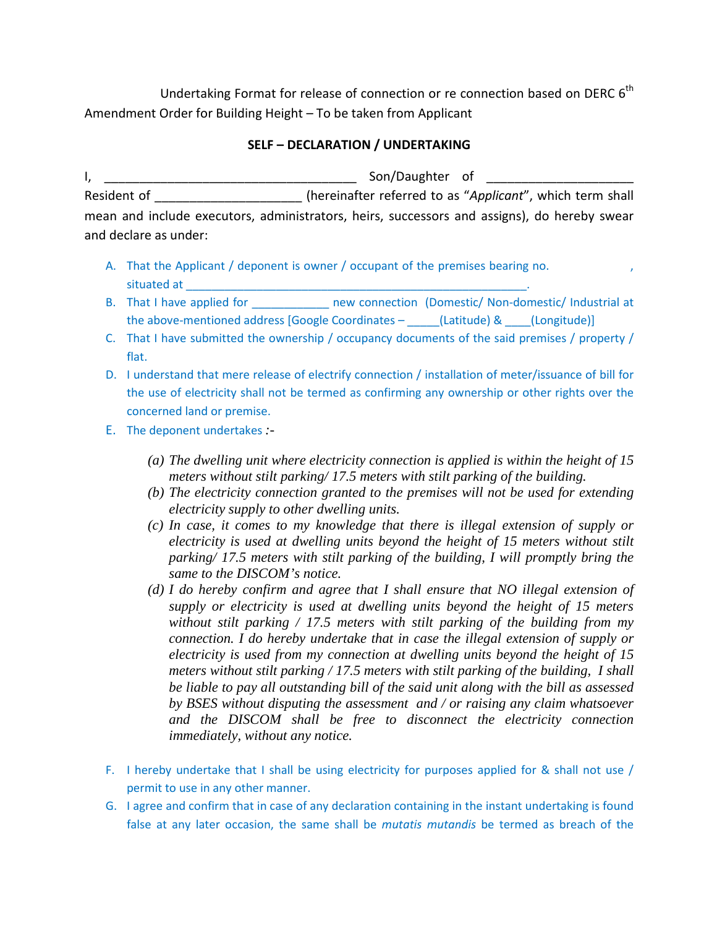Undertaking Format for release of connection or re connection based on DERC 6<sup>th</sup> Amendment Order for Building Height – To be taken from Applicant

## **SELF – DECLARATION / UNDERTAKING**

I, \_\_\_\_\_\_\_\_\_\_\_\_\_\_\_\_\_\_\_\_\_\_\_\_\_\_\_\_\_\_\_\_\_\_\_\_ Son/Daughter of \_\_\_\_\_\_\_\_\_\_\_\_\_\_\_\_\_\_\_\_\_ Resident of  $\qquad \qquad$  (hereinafter referred to as "*Applicant*", which term shall mean and include executors, administrators, heirs, successors and assigns), do hereby swear and declare as under:

- A. That the Applicant / deponent is owner / occupant of the premises bearing no. situated at  $\Box$
- B. That I have applied for \_\_\_\_\_\_\_\_\_\_\_\_\_ new connection (Domestic/ Non-domestic/ Industrial at the above-mentioned address [Google Coordinates  $-$  (Latitude) & (Longitude)]
- C. That I have submitted the ownership / occupancy documents of the said premises / property / flat.
- D. I understand that mere release of electrify connection / installation of meter/issuance of bill for the use of electricity shall not be termed as confirming any ownership or other rights over the concerned land or premise.
- E. The deponent undertakes *:-*
	- *(a) The dwelling unit where electricity connection is applied is within the height of 15 meters without stilt parking/ 17.5 meters with stilt parking of the building.*
	- *(b) The electricity connection granted to the premises will not be used for extending electricity supply to other dwelling units.*
	- *(c) In case, it comes to my knowledge that there is illegal extension of supply or electricity is used at dwelling units beyond the height of 15 meters without stilt parking/ 17.5 meters with stilt parking of the building, I will promptly bring the same to the DISCOM's notice.*
	- *(d) I do hereby confirm and agree that I shall ensure that NO illegal extension of supply or electricity is used at dwelling units beyond the height of 15 meters without stilt parking / 17.5 meters with stilt parking of the building from my connection. I do hereby undertake that in case the illegal extension of supply or electricity is used from my connection at dwelling units beyond the height of 15 meters without stilt parking / 17.5 meters with stilt parking of the building, I shall be liable to pay all outstanding bill of the said unit along with the bill as assessed by BSES without disputing the assessment and / or raising any claim whatsoever and the DISCOM shall be free to disconnect the electricity connection immediately, without any notice.*
- F. I hereby undertake that I shall be using electricity for purposes applied for & shall not use / permit to use in any other manner.
- G. I agree and confirm that in case of any declaration containing in the instant undertaking is found false at any later occasion, the same shall be *mutatis mutandis* be termed as breach of the